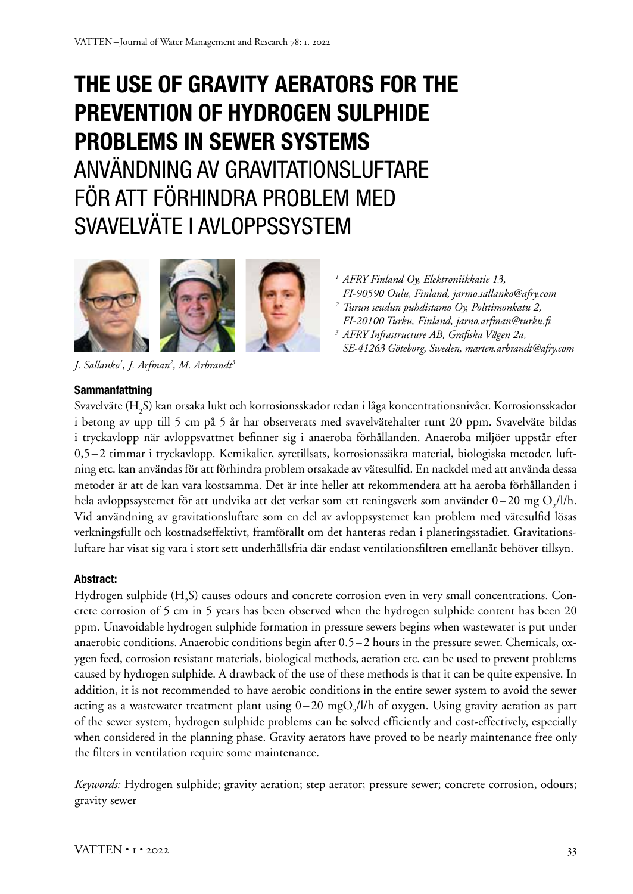# **THE USE OF GRAVITY AERATORS FOR THE PREVENTION OF HYDROGEN SULPHIDE PROBLEMS IN SEWER SYSTEMS** ANVÄNDNING AV GRAVITATIONSLUFTARE FÖR ATT FÖRHINDRA PROBLEM MED SVAVELVÄTE I AVLOPPSSYSTEM





*J. Sallanko1 , J. Arfman2 , M. Arbrandt3*

- *<sup>1</sup> AFRY Finland Oy, Elektroniikkatie 13, FI-90590 Oulu, Finland, jarmo.sallanko@afry.com <sup>2</sup> Turun seudun puhdistamo Oy, Polttimonkatu 2,*
- *FI-20100 Turku, Finland, jarno.arfman@turku.fi <sup>3</sup> AFRY Infrastructure AB, Grafiska Vägen 2a, SE-41263 Göteborg, Sweden, marten.arbrandt@afry.com*

### **Sammanfattning**

Svavelväte (H<sub>2</sub>S) kan orsaka lukt och korrosionsskador redan i låga koncentrationsnivåer. Korrosionsskador i betong av upp till 5 cm på 5 år har observerats med svavelvätehalter runt 20 ppm. Svavelväte bildas i tryckavlopp när avloppsvattnet befinner sig i anaeroba förhållanden. Anaeroba miljöer uppstår efter 0,5–2 timmar i tryckavlopp. Kemikalier, syretillsats, korrosionssäkra material, biologiska metoder, luftning etc. kan användas för att förhindra problem orsakade av vätesulfid. En nackdel med att använda dessa metoder är att de kan vara kostsamma. Det är inte heller att rekommendera att ha aeroba förhållanden i hela avloppssystemet för att undvika att det verkar som ett reningsverk som använder  $0-20$  mg  $\rm O_2/l/h.$ Vid användning av gravitationsluftare som en del av avloppsystemet kan problem med vätesulfid lösas verkningsfullt och kostnadseffektivt, framförallt om det hanteras redan i planeringsstadiet. Gravitationsluftare har visat sig vara i stort sett underhållsfria där endast ventilationsfiltren emellanåt behöver tillsyn.

#### **Abstract:**

Hydrogen sulphide (H<sub>2</sub>S) causes odours and concrete corrosion even in very small concentrations. Concrete corrosion of 5 cm in 5 years has been observed when the hydrogen sulphide content has been 20 ppm. Unavoidable hydrogen sulphide formation in pressure sewers begins when wastewater is put under anaerobic conditions. Anaerobic conditions begin after 0.5 –2 hours in the pressure sewer. Chemicals, oxygen feed, corrosion resistant materials, biological methods, aeration etc. can be used to prevent problems caused by hydrogen sulphide. A drawback of the use of these methods is that it can be quite expensive. In addition, it is not recommended to have aerobic conditions in the entire sewer system to avoid the sewer acting as a wastewater treatment plant using  $0-20$  mg $O_2/l/h$  of oxygen. Using gravity aeration as part of the sewer system, hydrogen sulphide problems can be solved efficiently and cost-effectively, especially when considered in the planning phase. Gravity aerators have proved to be nearly maintenance free only the filters in ventilation require some maintenance.

*Keywords:* Hydrogen sulphide; gravity aeration; step aerator; pressure sewer; concrete corrosion, odours; gravity sewer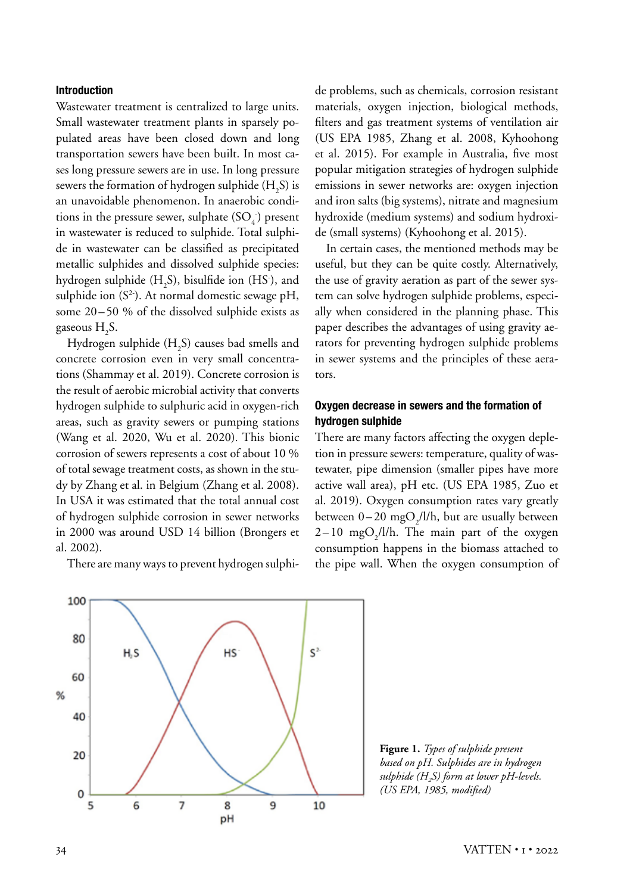#### **Introduction**

Wastewater treatment is centralized to large units. Small wastewater treatment plants in sparsely populated areas have been closed down and long transportation sewers have been built. In most cases long pressure sewers are in use. In long pressure sewers the formation of hydrogen sulphide (H<sub>2</sub>S) is an unavoidable phenomenon. In anaerobic conditions in the pressure sewer, sulphate  $(SO_4)$  present in wastewater is reduced to sulphide. Total sulphide in wastewater can be classified as precipitated metallic sulphides and dissolved sulphide species: hydrogen sulphide  $(H_2S)$ , bisulfide ion (HS<sup>-</sup>), and sulphide ion  $(S^2)$ . At normal domestic sewage pH, some 20–50 % of the dissolved sulphide exists as gaseous  $H_2S$ .

Hydrogen sulphide  $\rm (H_{2}S)$  causes bad smells and concrete corrosion even in very small concentrations (Shammay et al. 2019). Concrete corrosion is the result of aerobic microbial activity that converts hydrogen sulphide to sulphuric acid in oxygen-rich areas, such as gravity sewers or pumping stations (Wang et al. 2020, Wu et al. 2020). This bionic corrosion of sewers represents a cost of about 10 % of total sewage treatment costs, as shown in the study by Zhang et al. in Belgium (Zhang et al. 2008). In USA it was estimated that the total annual cost of hydrogen sulphide corrosion in sewer networks in 2000 was around USD 14 billion (Brongers et al. 2002).

There are many ways to prevent hydrogen sulphi-

de problems, such as chemicals, corrosion resistant materials, oxygen injection, biological methods, filters and gas treatment systems of ventilation air (US EPA 1985, Zhang et al. 2008, Kyhoohong et al. 2015). For example in Australia, five most popular mitigation strategies of hydrogen sulphide emissions in sewer networks are: oxygen injection and iron salts (big systems), nitrate and magnesium hydroxide (medium systems) and sodium hydroxide (small systems) (Kyhoohong et al. 2015).

In certain cases, the mentioned methods may be useful, but they can be quite costly. Alternatively, the use of gravity aeration as part of the sewer system can solve hydrogen sulphide problems, especially when considered in the planning phase. This paper describes the advantages of using gravity aerators for preventing hydrogen sulphide problems in sewer systems and the principles of these aerators.

## **Oxygen decrease in sewers and the formation of hydrogen sulphide**

There are many factors affecting the oxygen depletion in pressure sewers: temperature, quality of wastewater, pipe dimension (smaller pipes have more active wall area), pH etc. (US EPA 1985, Zuo et al. 2019). Oxygen consumption rates vary greatly between  $0-20$  mg $O_2/l/h$ , but are usually between  $2-10$  mgO<sub>2</sub>/l/h. The main part of the oxygen consumption happens in the biomass attached to the pipe wall. When the oxygen consumption of



**Figure 1.** *Types of sulphide present based on pH. Sulphides are in hydrogen sulphide (H2S) form at lower pH-levels. (US EPA, 1985, modified)*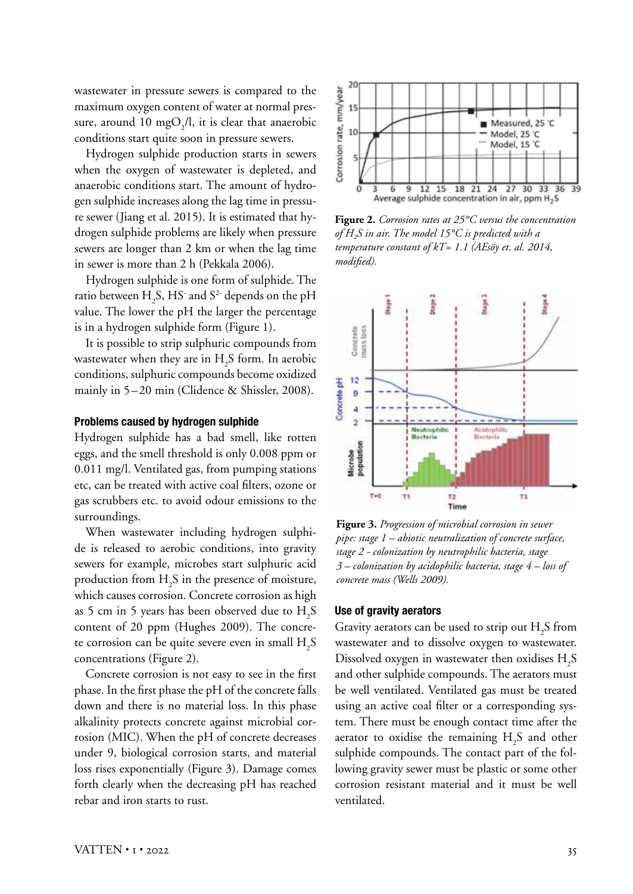wastewater in pressure sewers is compared to the maximum oxygen content of water at normal pressure, around 10 mgO<sub>2</sub>/l, it is clear that anaerobic conditions start quite soon in pressure sewers.

Hydrogen sulphide production starts in sewers when the oxygen of wastewater is depleted, and anaerobic conditions start. The amount of hydrogen sulphide increases along the lag time in pressure sewer (Jiang et al. 2015). It is estimated that hydrogen sulphide problems are likely when pressure sewers are longer than 2 km or when the lag time in sewer is more than 2 h (Pekkala 2006).

Hydrogen sulphide is one form of sulphide. The ratio between  $H_2S$ , HS<sup>-</sup> and S<sup>2-</sup> depends on the pH value. The lower the pH the larger the percentage is in a hydrogen sulphide form (Figure 1).

It is possible to strip sulphuric compounds from wastewater when they are in  $H_2S$  form. In aerobic conditions, sulphuric compounds become oxidized mainly in 5–20 min (Clidence & Shissler, 2008).

#### **Problems caused by hydrogen sulphide**

Hydrogen sulphide has a bad smell, like rotten eggs, and the smell threshold is only 0.008 ppm or 0.011 mg/l. Ventilated gas, from pumping stations etc, can be treated with active coal filters, ozone or gas scrubbers etc. to avoid odour emissions to the surroundings.

When wastewater including hydrogen sulphide is released to aerobic conditions, into gravity sewers for example, microbes start sulphuric acid production from  $H_2S$  in the presence of moisture, which causes corrosion. Concrete corrosion as high as 5 cm in 5 years has been observed due to  $H_2S$ content of 20 ppm (Hughes 2009). The concrete corrosion can be quite severe even in small  $\rm H_2S$ concentrations (Figure 2).

Concrete corrosion is not easy to see in the first phase. In the first phase the pH of the concrete falls down and there is no material loss. In this phase alkalinity protects concrete against microbial corrosion (MIC). When the pH of concrete decreases under 9, biological corrosion starts, and material loss rises exponentially (Figure 3). Damage comes forth clearly when the decreasing pH has reached rebar and iron starts to rust.



**Figure 2.** *Corrosion rates at 25°C versus the concentration of H2S in air. The model 15°C is predicted with a temperature constant of kT= 1.1 (AEsöy et. al. 2014, modified).*



**Figure 3.** *Progression of microbial corrosion in sewer pipe: stage 1 – abiotic neutralization of concrete surface, stage 2 - colonization by neutrophilic bacteria, stage 3 – colonization by acidophilic bacteria, stage 4 – loss of concrete mass (Wells 2009).*

#### **Use of gravity aerators**

Gravity aerators can be used to strip out  $\mathrm{H}_2\mathrm{S}\xspace$  from wastewater and to dissolve oxygen to wastewater. Dissolved oxygen in wastewater then oxidises  $\rm H_2S$ and other sulphide compounds. The aerators must be well ventilated. Ventilated gas must be treated using an active coal filter or a corresponding system. There must be enough contact time after the aerator to oxidise the remaining  $H_2S$  and other sulphide compounds. The contact part of the following gravity sewer must be plastic or some other corrosion resistant material and it must be well ventilated.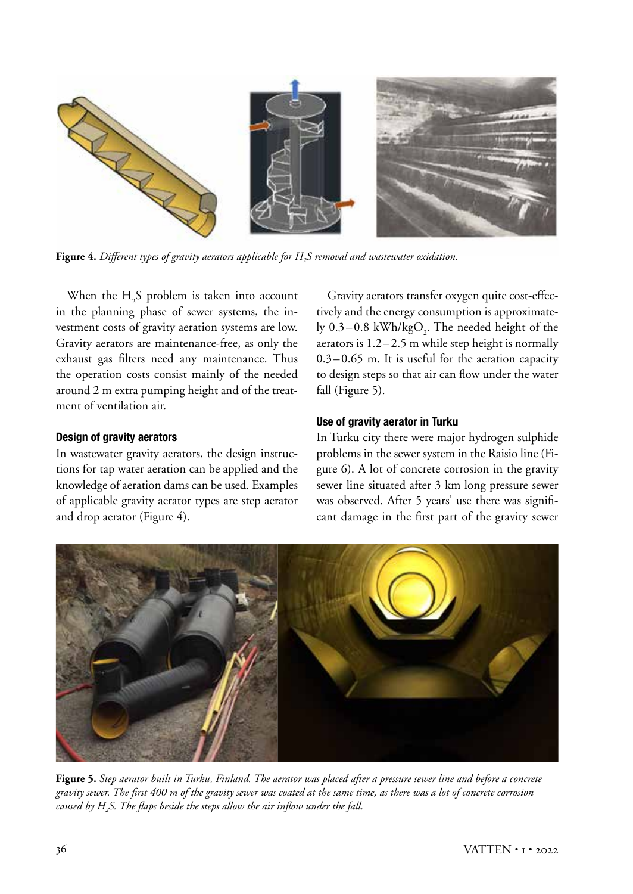

Figure 4. Different types of gravity aerators applicable for H<sub>2</sub>S removal and wastewater oxidation.

When the  $H_2S$  problem is taken into account in the planning phase of sewer systems, the investment costs of gravity aeration systems are low. Gravity aerators are maintenance-free, as only the exhaust gas filters need any maintenance. Thus the operation costs consist mainly of the needed around 2 m extra pumping height and of the treatment of ventilation air.

#### **Design of gravity aerators**

In wastewater gravity aerators, the design instructions for tap water aeration can be applied and the knowledge of aeration dams can be used. Examples of applicable gravity aerator types are step aerator and drop aerator (Figure 4).

Gravity aerators transfer oxygen quite cost-effectively and the energy consumption is approximately 0.3–0.8 kWh/kgO<sub>2</sub>. The needed height of the aerators is  $1.2 - 2.5$  m while step height is normally  $0.3 - 0.65$  m. It is useful for the aeration capacity to design steps so that air can flow under the water fall (Figure 5).

## **Use of gravity aerator in Turku**

In Turku city there were major hydrogen sulphide problems in the sewer system in the Raisio line (Figure 6). A lot of concrete corrosion in the gravity sewer line situated after 3 km long pressure sewer was observed. After 5 years' use there was significant damage in the first part of the gravity sewer



**Figure 5.** *Step aerator built in Turku, Finland. The aerator was placed after a pressure sewer line and before a concrete gravity sewer. The first 400 m of the gravity sewer was coated at the same time, as there was a lot of concrete corrosion caused by H2S. The flaps beside the steps allow the air inflow under the fall.*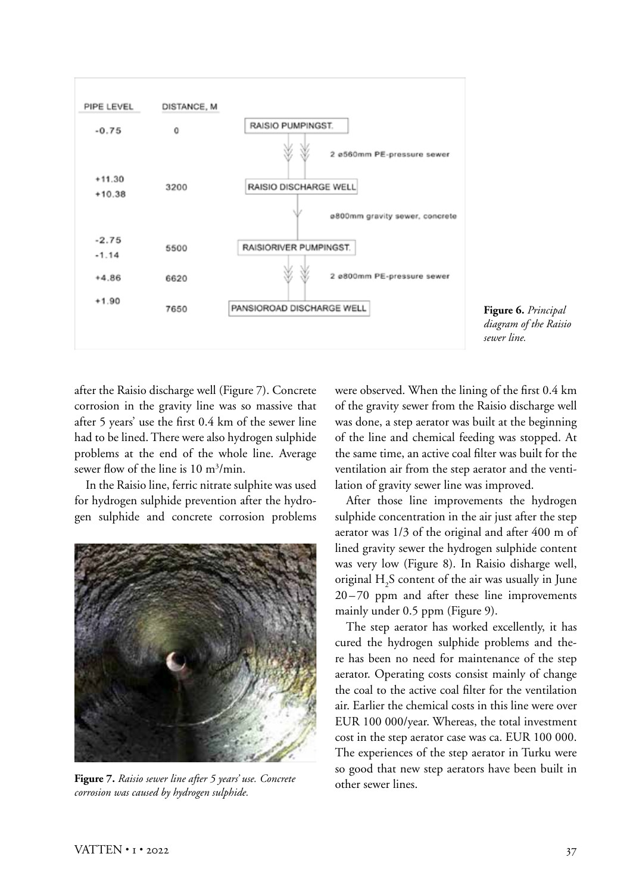

**Figure 6.** *Principal diagram of the Raisio sewer line.*

after the Raisio discharge well (Figure 7). Concrete corrosion in the gravity line was so massive that after 5 years' use the first 0.4 km of the sewer line had to be lined. There were also hydrogen sulphide problems at the end of the whole line. Average sewer flow of the line is 10 m<sup>3</sup>/min.

In the Raisio line, ferric nitrate sulphite was used for hydrogen sulphide prevention after the hydrogen sulphide and concrete corrosion problems



**Figure 7.** *Raisio sewer line after 5 years' use. Concrete corrosion was caused by hydrogen sulphide.*

were observed. When the lining of the first 0.4 km of the gravity sewer from the Raisio discharge well was done, a step aerator was built at the beginning of the line and chemical feeding was stopped. At the same time, an active coal filter was built for the ventilation air from the step aerator and the ventilation of gravity sewer line was improved.

After those line improvements the hydrogen sulphide concentration in the air just after the step aerator was 1/3 of the original and after 400 m of lined gravity sewer the hydrogen sulphide content was very low (Figure 8). In Raisio disharge well, original  $H_2S$  content of the air was usually in June 20 – 70 ppm and after these line improvements mainly under 0.5 ppm (Figure 9).

The step aerator has worked excellently, it has cured the hydrogen sulphide problems and there has been no need for maintenance of the step aerator. Operating costs consist mainly of change the coal to the active coal filter for the ventilation air. Earlier the chemical costs in this line were over EUR 100 000/year. Whereas, the total investment cost in the step aerator case was ca. EUR 100 000. The experiences of the step aerator in Turku were so good that new step aerators have been built in other sewer lines.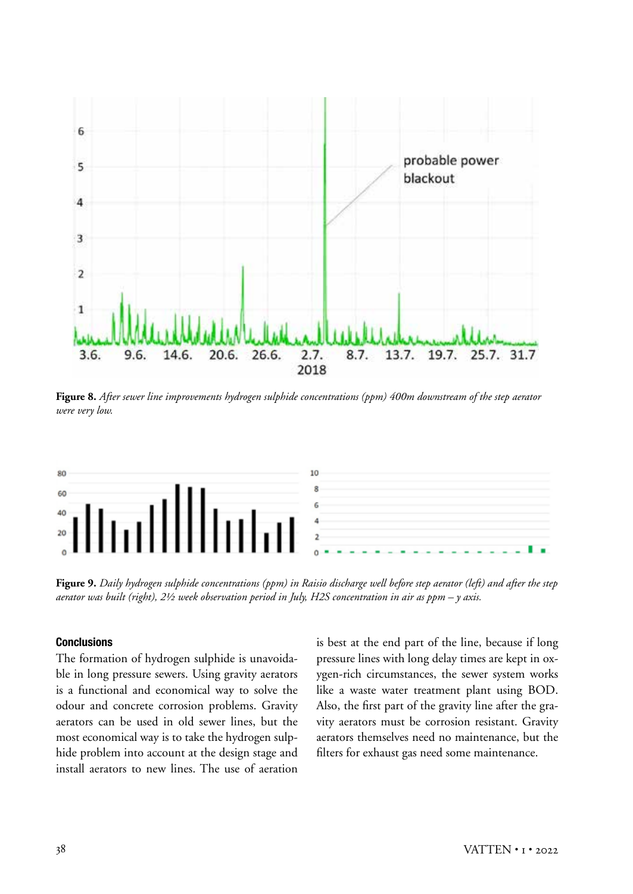

**Figure 8.** *After sewer line improvements hydrogen sulphide concentrations (ppm) 400m downstream of the step aerator were very low.*



**Figure 9.** *Daily hydrogen sulphide concentrations (ppm) in Raisio discharge well before step aerator (left) and after the step aerator was built (right), 2½ week observation period in July, H2S concentration in air as ppm – y axis.* 

#### **Conclusions**

The formation of hydrogen sulphide is unavoidable in long pressure sewers. Using gravity aerators is a functional and economical way to solve the odour and concrete corrosion problems. Gravity aerators can be used in old sewer lines, but the most economical way is to take the hydrogen sulphide problem into account at the design stage and install aerators to new lines. The use of aeration is best at the end part of the line, because if long pressure lines with long delay times are kept in oxygen-rich circumstances, the sewer system works like a waste water treatment plant using BOD. Also, the first part of the gravity line after the gravity aerators must be corrosion resistant. Gravity aerators themselves need no maintenance, but the filters for exhaust gas need some maintenance.